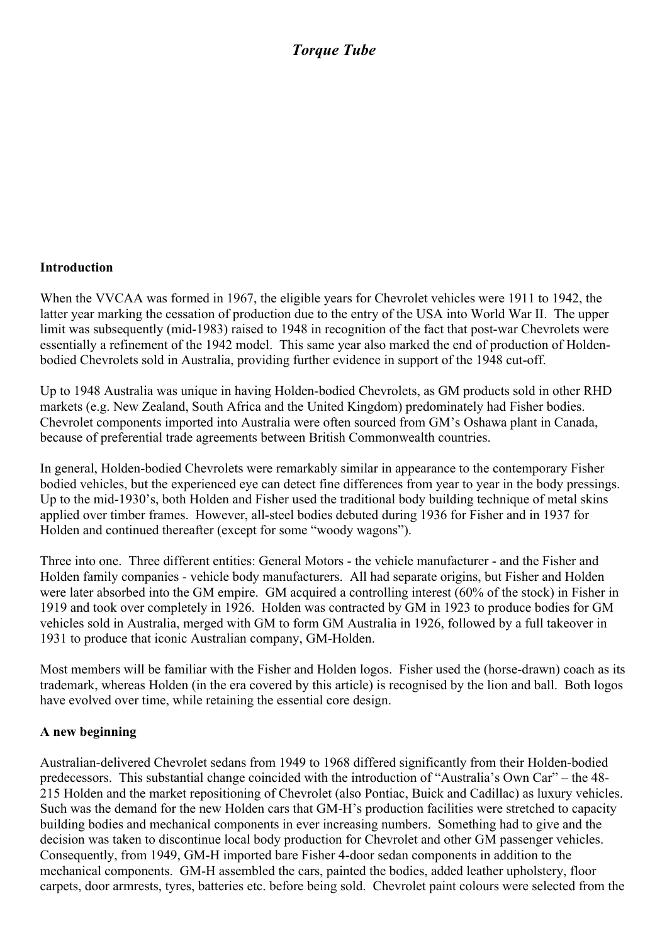## *Torque Tube*

## **Introduction**

When the VVCAA was formed in 1967, the eligible years for Chevrolet vehicles were 1911 to 1942, the latter year marking the cessation of production due to the entry of the USA into World War II. The upper limit was subsequently (mid-1983) raised to 1948 in recognition of the fact that post-war Chevrolets were essentially a refinement of the 1942 model. This same year also marked the end of production of Holdenbodied Chevrolets sold in Australia, providing further evidence in support of the 1948 cut-off.

Up to 1948 Australia was unique in having Holden-bodied Chevrolets, as GM products sold in other RHD markets (e.g. New Zealand, South Africa and the United Kingdom) predominately had Fisher bodies. Chevrolet components imported into Australia were often sourced from GM's Oshawa plant in Canada, because of preferential trade agreements between British Commonwealth countries.

In general, Holden-bodied Chevrolets were remarkably similar in appearance to the contemporary Fisher bodied vehicles, but the experienced eye can detect fine differences from year to year in the body pressings. Up to the mid-1930's, both Holden and Fisher used the traditional body building technique of metal skins applied over timber frames. However, all-steel bodies debuted during 1936 for Fisher and in 1937 for Holden and continued thereafter (except for some "woody wagons").

Three into one. Three different entities: General Motors - the vehicle manufacturer - and the Fisher and Holden family companies - vehicle body manufacturers. All had separate origins, but Fisher and Holden were later absorbed into the GM empire. GM acquired a controlling interest (60% of the stock) in Fisher in 1919 and took over completely in 1926. Holden was contracted by GM in 1923 to produce bodies for GM vehicles sold in Australia, merged with GM to form GM Australia in 1926, followed by a full takeover in 1931 to produce that iconic Australian company, GM-Holden.

Most members will be familiar with the Fisher and Holden logos. Fisher used the (horse-drawn) coach as its trademark, whereas Holden (in the era covered by this article) is recognised by the lion and ball. Both logos have evolved over time, while retaining the essential core design.

## **A new beginning**

Australian-delivered Chevrolet sedans from 1949 to 1968 differed significantly from their Holden-bodied predecessors. This substantial change coincided with the introduction of "Australia's Own Car" – the 48- 215 Holden and the market repositioning of Chevrolet (also Pontiac, Buick and Cadillac) as luxury vehicles. Such was the demand for the new Holden cars that GM-H's production facilities were stretched to capacity building bodies and mechanical components in ever increasing numbers. Something had to give and the decision was taken to discontinue local body production for Chevrolet and other GM passenger vehicles. Consequently, from 1949, GM-H imported bare Fisher 4-door sedan components in addition to the mechanical components. GM-H assembled the cars, painted the bodies, added leather upholstery, floor carpets, door armrests, tyres, batteries etc. before being sold. Chevrolet paint colours were selected from the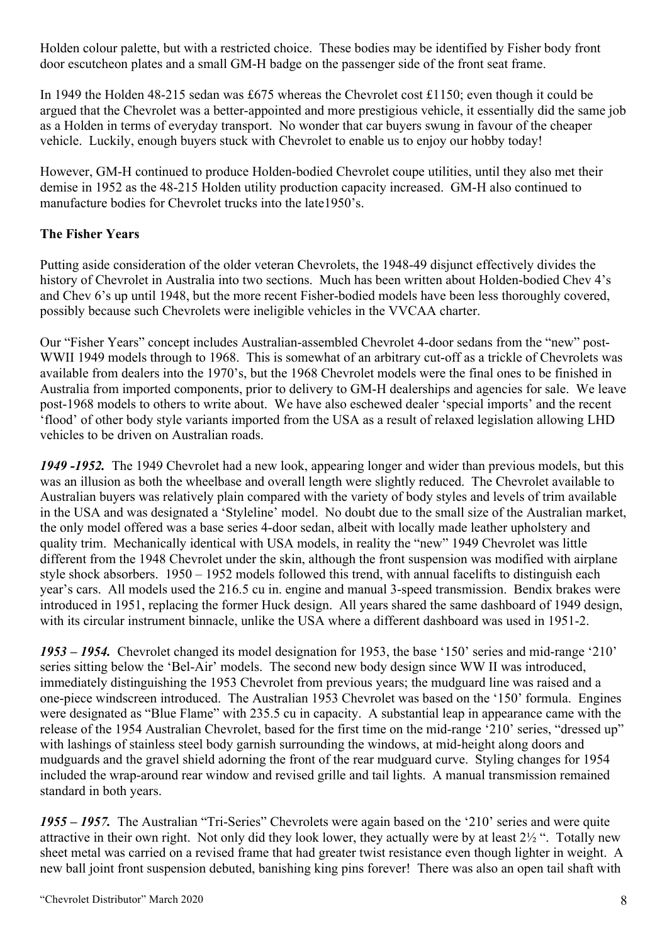Holden colour palette, but with a restricted choice. These bodies may be identified by Fisher body front door escutcheon plates and a small GM-H badge on the passenger side of the front seat frame.

In 1949 the Holden 48-215 sedan was £675 whereas the Chevrolet cost £1150; even though it could be argued that the Chevrolet was a better-appointed and more prestigious vehicle, it essentially did the same job as a Holden in terms of everyday transport. No wonder that car buyers swung in favour of the cheaper vehicle. Luckily, enough buyers stuck with Chevrolet to enable us to enjoy our hobby today!

However, GM-H continued to produce Holden-bodied Chevrolet coupe utilities, until they also met their demise in 1952 as the 48-215 Holden utility production capacity increased. GM-H also continued to manufacture bodies for Chevrolet trucks into the late1950's.

## **The Fisher Years**

Putting aside consideration of the older veteran Chevrolets, the 1948-49 disjunct effectively divides the history of Chevrolet in Australia into two sections. Much has been written about Holden-bodied Chev 4's and Chev 6's up until 1948, but the more recent Fisher-bodied models have been less thoroughly covered, possibly because such Chevrolets were ineligible vehicles in the VVCAA charter.

Our "Fisher Years" concept includes Australian-assembled Chevrolet 4-door sedans from the "new" post-WWII 1949 models through to 1968. This is somewhat of an arbitrary cut-off as a trickle of Chevrolets was available from dealers into the 1970's, but the 1968 Chevrolet models were the final ones to be finished in Australia from imported components, prior to delivery to GM-H dealerships and agencies for sale. We leave post-1968 models to others to write about. We have also eschewed dealer 'special imports' and the recent 'flood' of other body style variants imported from the USA as a result of relaxed legislation allowing LHD vehicles to be driven on Australian roads.

*1949 -1952.* The 1949 Chevrolet had a new look, appearing longer and wider than previous models, but this was an illusion as both the wheelbase and overall length were slightly reduced. The Chevrolet available to Australian buyers was relatively plain compared with the variety of body styles and levels of trim available in the USA and was designated a 'Styleline' model. No doubt due to the small size of the Australian market, the only model offered was a base series 4-door sedan, albeit with locally made leather upholstery and quality trim. Mechanically identical with USA models, in reality the "new" 1949 Chevrolet was little different from the 1948 Chevrolet under the skin, although the front suspension was modified with airplane style shock absorbers. 1950 – 1952 models followed this trend, with annual facelifts to distinguish each year's cars. All models used the 216.5 cu in. engine and manual 3-speed transmission. Bendix brakes were introduced in 1951, replacing the former Huck design. All years shared the same dashboard of 1949 design, with its circular instrument binnacle, unlike the USA where a different dashboard was used in 1951-2.

*1953 – 1954.* Chevrolet changed its model designation for 1953, the base '150' series and mid-range '210' series sitting below the 'Bel-Air' models. The second new body design since WW II was introduced, immediately distinguishing the 1953 Chevrolet from previous years; the mudguard line was raised and a one-piece windscreen introduced. The Australian 1953 Chevrolet was based on the '150' formula. Engines were designated as "Blue Flame" with 235.5 cu in capacity. A substantial leap in appearance came with the release of the 1954 Australian Chevrolet, based for the first time on the mid-range '210' series, "dressed up" with lashings of stainless steel body garnish surrounding the windows, at mid-height along doors and mudguards and the gravel shield adorning the front of the rear mudguard curve. Styling changes for 1954 included the wrap-around rear window and revised grille and tail lights. A manual transmission remained standard in both years.

*1955 – 1957.* The Australian "Tri-Series" Chevrolets were again based on the '210' series and were quite attractive in their own right. Not only did they look lower, they actually were by at least 2½ ". Totally new sheet metal was carried on a revised frame that had greater twist resistance even though lighter in weight. A new ball joint front suspension debuted, banishing king pins forever! There was also an open tail shaft with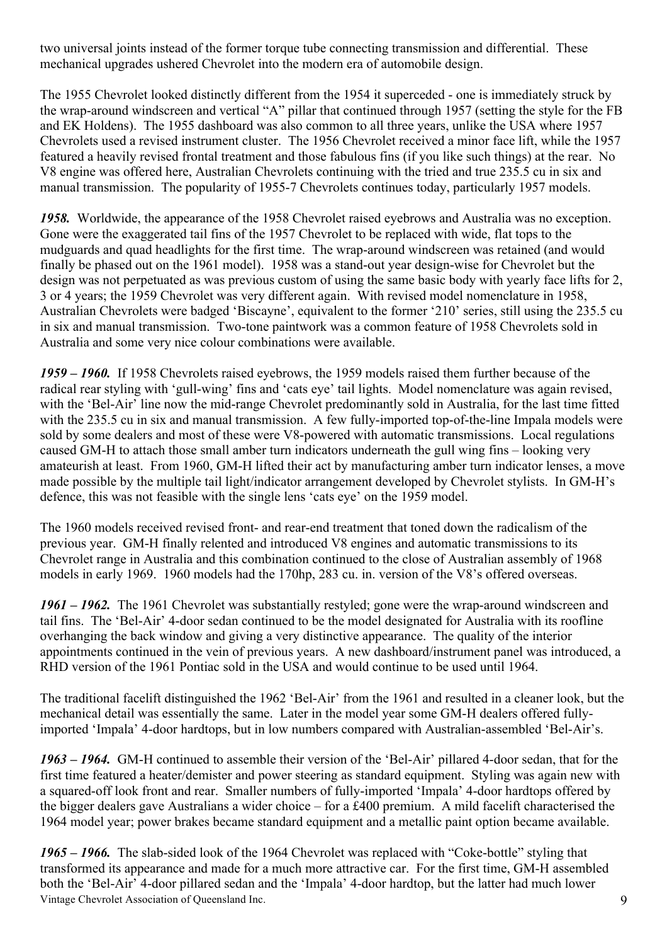two universal joints instead of the former torque tube connecting transmission and differential. These mechanical upgrades ushered Chevrolet into the modern era of automobile design.

The 1955 Chevrolet looked distinctly different from the 1954 it superceded - one is immediately struck by the wrap-around windscreen and vertical "A" pillar that continued through 1957 (setting the style for the FB and EK Holdens). The 1955 dashboard was also common to all three years, unlike the USA where 1957 Chevrolets used a revised instrument cluster. The 1956 Chevrolet received a minor face lift, while the 1957 featured a heavily revised frontal treatment and those fabulous fins (if you like such things) at the rear. No V8 engine was offered here, Australian Chevrolets continuing with the tried and true 235.5 cu in six and manual transmission. The popularity of 1955-7 Chevrolets continues today, particularly 1957 models.

*1958.* Worldwide, the appearance of the 1958 Chevrolet raised eyebrows and Australia was no exception. Gone were the exaggerated tail fins of the 1957 Chevrolet to be replaced with wide, flat tops to the mudguards and quad headlights for the first time. The wrap-around windscreen was retained (and would finally be phased out on the 1961 model). 1958 was a stand-out year design-wise for Chevrolet but the design was not perpetuated as was previous custom of using the same basic body with yearly face lifts for 2, 3 or 4 years; the 1959 Chevrolet was very different again. With revised model nomenclature in 1958, Australian Chevrolets were badged 'Biscayne', equivalent to the former '210' series, still using the 235.5 cu in six and manual transmission. Two-tone paintwork was a common feature of 1958 Chevrolets sold in Australia and some very nice colour combinations were available.

*1959 – 1960.* If 1958 Chevrolets raised eyebrows, the 1959 models raised them further because of the radical rear styling with 'gull-wing' fins and 'cats eye' tail lights. Model nomenclature was again revised, with the 'Bel-Air' line now the mid-range Chevrolet predominantly sold in Australia, for the last time fitted with the 235.5 cu in six and manual transmission. A few fully-imported top-of-the-line Impala models were sold by some dealers and most of these were V8-powered with automatic transmissions. Local regulations caused GM-H to attach those small amber turn indicators underneath the gull wing fins – looking very amateurish at least. From 1960, GM-H lifted their act by manufacturing amber turn indicator lenses, a move made possible by the multiple tail light/indicator arrangement developed by Chevrolet stylists. In GM-H's defence, this was not feasible with the single lens 'cats eye' on the 1959 model.

The 1960 models received revised front- and rear-end treatment that toned down the radicalism of the previous year. GM-H finally relented and introduced V8 engines and automatic transmissions to its Chevrolet range in Australia and this combination continued to the close of Australian assembly of 1968 models in early 1969. 1960 models had the 170hp, 283 cu. in. version of the V8's offered overseas.

*1961 – 1962.* The 1961 Chevrolet was substantially restyled; gone were the wrap-around windscreen and tail fins. The 'Bel-Air' 4-door sedan continued to be the model designated for Australia with its roofline overhanging the back window and giving a very distinctive appearance. The quality of the interior appointments continued in the vein of previous years. A new dashboard/instrument panel was introduced, a RHD version of the 1961 Pontiac sold in the USA and would continue to be used until 1964.

The traditional facelift distinguished the 1962 'Bel-Air' from the 1961 and resulted in a cleaner look, but the mechanical detail was essentially the same. Later in the model year some GM-H dealers offered fullyimported 'Impala' 4-door hardtops, but in low numbers compared with Australian-assembled 'Bel-Air's.

*1963 – 1964.* GM-H continued to assemble their version of the 'Bel-Air' pillared 4-door sedan, that for the first time featured a heater/demister and power steering as standard equipment. Styling was again new with a squared-off look front and rear. Smaller numbers of fully-imported 'Impala' 4-door hardtops offered by the bigger dealers gave Australians a wider choice – for a £400 premium. A mild facelift characterised the 1964 model year; power brakes became standard equipment and a metallic paint option became available.

Vintage Chevrolet Association of Queensland Inc. 9 *1965 – 1966.* The slab-sided look of the 1964 Chevrolet was replaced with "Coke-bottle" styling that transformed its appearance and made for a much more attractive car. For the first time, GM-H assembled both the 'Bel-Air' 4-door pillared sedan and the 'Impala' 4-door hardtop, but the latter had much lower